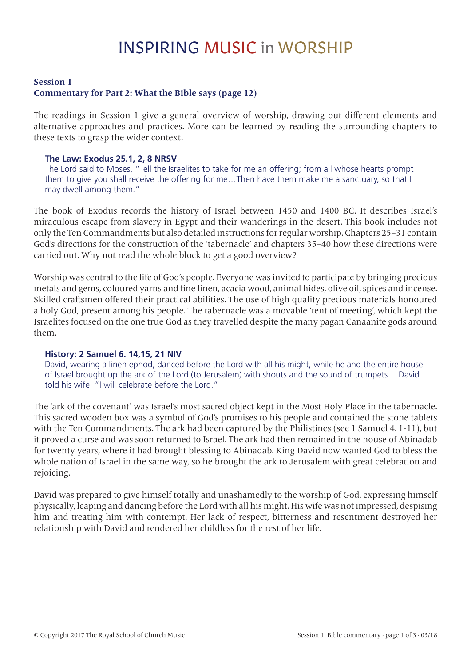# INSPIRING MUSIC in WORSHIP

### **Session 1 Commentary for Part 2: What the Bible says (page 12)**

The readings in Session 1 give a general overview of worship, drawing out different elements and alternative approaches and practices. More can be learned by reading the surrounding chapters to these texts to grasp the wider context.

### **The Law: Exodus 25.1, 2, 8 NRSV**

The Lord said to Moses, "Tell the Israelites to take for me an offering; from all whose hearts prompt them to give you shall receive the offering for me…Then have them make me a sanctuary, so that I may dwell among them."

The book of Exodus records the history of Israel between 1450 and 1400 BC. It describes Israel's miraculous escape from slavery in Egypt and their wanderings in the desert. This book includes not only the Ten Commandments but also detailed instructions for regular worship. Chapters 25–31 contain God's directions for the construction of the 'tabernacle' and chapters 35–40 how these directions were carried out. Why not read the whole block to get a good overview?

Worship was central to the life of God's people. Everyone was invited to participate by bringing precious metals and gems, coloured yarns and fine linen, acacia wood, animal hides, olive oil, spices and incense. Skilled craftsmen offered their practical abilities. The use of high quality precious materials honoured a holy God, present among his people. The tabernacle was a movable 'tent of meeting', which kept the Israelites focused on the one true God as they travelled despite the many pagan Canaanite gods around them.

#### **History: 2 Samuel 6. 14,15, 21 NIV**

David, wearing a linen ephod, danced before the Lord with all his might, while he and the entire house of Israel brought up the ark of the Lord (to Jerusalem) with shouts and the sound of trumpets… David told his wife: "I will celebrate before the Lord."

The 'ark of the covenant' was Israel's most sacred object kept in the Most Holy Place in the tabernacle. This sacred wooden box was a symbol of God's promises to his people and contained the stone tablets with the Ten Commandments. The ark had been captured by the Philistines (see 1 Samuel 4. 1-11), but it proved a curse and was soon returned to Israel. The ark had then remained in the house of Abinadab for twenty years, where it had brought blessing to Abinadab. King David now wanted God to bless the whole nation of Israel in the same way, so he brought the ark to Jerusalem with great celebration and rejoicing.

David was prepared to give himself totally and unashamedly to the worship of God, expressing himself physically, leaping and dancing before the Lord with all his might. His wife was not impressed, despising him and treating him with contempt. Her lack of respect, bitterness and resentment destroyed her relationship with David and rendered her childless for the rest of her life.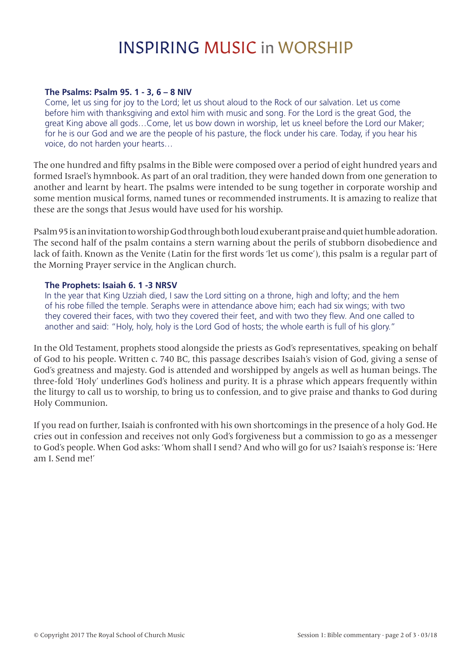# INSPIRING MUSIC in WORSHIP

### **The Psalms: Psalm 95. 1 - 3, 6 – 8 NIV**

Come, let us sing for joy to the Lord; let us shout aloud to the Rock of our salvation. Let us come before him with thanksgiving and extol him with music and song. For the Lord is the great God, the great King above all gods…Come, let us bow down in worship, let us kneel before the Lord our Maker; for he is our God and we are the people of his pasture, the flock under his care. Today, if you hear his voice, do not harden your hearts…

The one hundred and fifty psalms in the Bible were composed over a period of eight hundred years and formed Israel's hymnbook. As part of an oral tradition, they were handed down from one generation to another and learnt by heart. The psalms were intended to be sung together in corporate worship and some mention musical forms, named tunes or recommended instruments. It is amazing to realize that these are the songs that Jesus would have used for his worship.

Psalm 95 is an invitation to worship God through both loud exuberant praise and quiet humble adoration. The second half of the psalm contains a stern warning about the perils of stubborn disobedience and lack of faith. Known as the Venite (Latin for the first words 'let us come'), this psalm is a regular part of the Morning Prayer service in the Anglican church.

#### **The Prophets: Isaiah 6. 1 -3 NRSV**

In the year that King Uzziah died, I saw the Lord sitting on a throne, high and lofty; and the hem of his robe filled the temple. Seraphs were in attendance above him; each had six wings; with two they covered their faces, with two they covered their feet, and with two they flew. And one called to another and said: "Holy, holy, holy is the Lord God of hosts; the whole earth is full of his glory."

In the Old Testament, prophets stood alongside the priests as God's representatives, speaking on behalf of God to his people. Written c. 740 BC, this passage describes Isaiah's vision of God, giving a sense of God's greatness and majesty. God is attended and worshipped by angels as well as human beings. The three-fold 'Holy' underlines God's holiness and purity. It is a phrase which appears frequently within the liturgy to call us to worship, to bring us to confession, and to give praise and thanks to God during Holy Communion.

If you read on further, Isaiah is confronted with his own shortcomings in the presence of a holy God. He cries out in confession and receives not only God's forgiveness but a commission to go as a messenger to God's people. When God asks: 'Whom shall I send? And who will go for us? Isaiah's response is: 'Here am I. Send me!'